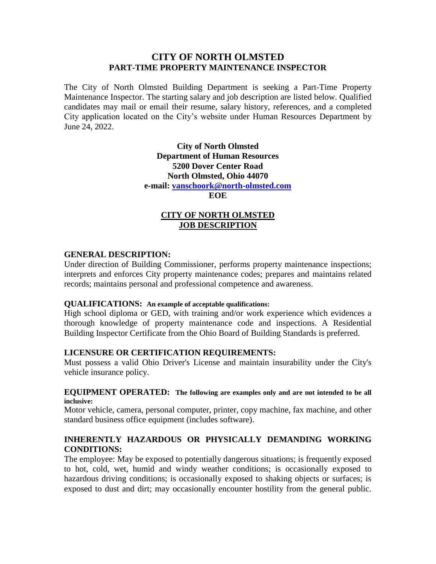# **CITY OF NORTH OLMSTED PART-TIME PROPERTY MAINTENANCE INSPECTOR**

The City of North Olmsted Building Department is seeking a Part-Time Property Maintenance Inspector. The starting salary and job description are listed below. Qualified candidates may mail or email their resume, salary history, references, and a completed City application located on the City's website under Human Resources Department by June 24, 2022.

> **City of North Olmsted Department of Human Resources 5200 Dover Center Road North Olmsted, Ohio 44070 e-mail: [vanschoork@north-olmsted.com](mailto:vanschoork@north-olmsted.com) EOE**

## **CITY OF NORTH OLMSTED JOB DESCRIPTION**

### **GENERAL DESCRIPTION:**

Under direction of Building Commissioner, performs property maintenance inspections; interprets and enforces City property maintenance codes; prepares and maintains related records; maintains personal and professional competence and awareness.

### **QUALIFICATIONS: An example of acceptable qualifications:**

High school diploma or GED, with training and/or work experience which evidences a thorough knowledge of property maintenance code and inspections. A Residential Building Inspector Certificate from the Ohio Board of Building Standards is preferred.

## **LICENSURE OR CERTIFICATION REQUIREMENTS:**

Must possess a valid Ohio Driver's License and maintain insurability under the City's vehicle insurance policy.

#### **EQUIPMENT OPERATED: The following are examples only and are not intended to be all inclusive:**

Motor vehicle, camera, personal computer, printer, copy machine, fax machine, and other standard business office equipment (includes software).

# **INHERENTLY HAZARDOUS OR PHYSICALLY DEMANDING WORKING CONDITIONS:**

The employee: May be exposed to potentially dangerous situations; is frequently exposed to hot, cold, wet, humid and windy weather conditions; is occasionally exposed to hazardous driving conditions; is occasionally exposed to shaking objects or surfaces; is exposed to dust and dirt; may occasionally encounter hostility from the general public.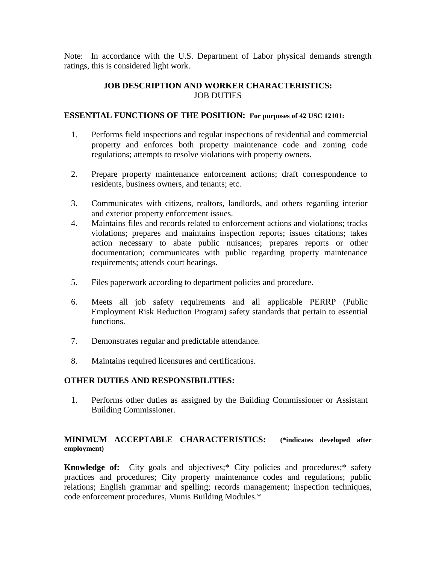Note: In accordance with the U.S. Department of Labor physical demands strength ratings, this is considered light work.

# **JOB DESCRIPTION AND WORKER CHARACTERISTICS:** JOB DUTIES

### **ESSENTIAL FUNCTIONS OF THE POSITION: For purposes of 42 USC 12101:**

- 1. Performs field inspections and regular inspections of residential and commercial property and enforces both property maintenance code and zoning code regulations; attempts to resolve violations with property owners.
- 2. Prepare property maintenance enforcement actions; draft correspondence to residents, business owners, and tenants; etc.
- 3. Communicates with citizens, realtors, landlords, and others regarding interior and exterior property enforcement issues.
- 4. Maintains files and records related to enforcement actions and violations; tracks violations; prepares and maintains inspection reports; issues citations; takes action necessary to abate public nuisances; prepares reports or other documentation; communicates with public regarding property maintenance requirements; attends court hearings.
- 5. Files paperwork according to department policies and procedure.
- 6. Meets all job safety requirements and all applicable PERRP (Public Employment Risk Reduction Program) safety standards that pertain to essential functions.
- 7. Demonstrates regular and predictable attendance.
- 8. Maintains required licensures and certifications.

### **OTHER DUTIES AND RESPONSIBILITIES:**

1. Performs other duties as assigned by the Building Commissioner or Assistant Building Commissioner.

# **MINIMUM ACCEPTABLE CHARACTERISTICS: (\*indicates developed after employment)**

**Knowledge of:** City goals and objectives;\* City policies and procedures;\* safety practices and procedures; City property maintenance codes and regulations; public relations; English grammar and spelling; records management; inspection techniques, code enforcement procedures, Munis Building Modules.\*